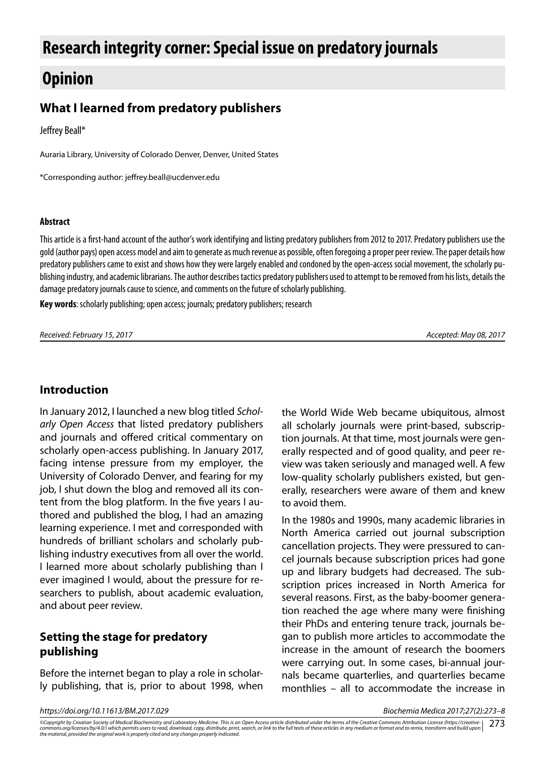# **Research integrity corner: Special issue on predatory journals**

## **Opinion**

## **What I learned from predatory publishers**

Jeffrey Beall\*

Auraria Library, University of Colorado Denver, Denver, United States

\*Corresponding author: jeffrey.beall@ucdenver.edu

#### **Abstract**

This article is a first-hand account of the author's work identifying and listing predatory publishers from 2012 to 2017. Predatory publishers use the gold (author pays) open access model and aim to generate as much revenue as possible, often foregoing a proper peer review. The paper details how predatory publishers came to exist and shows how they were largely enabled and condoned by the open-access social movement, the scholarly publishing industry, and academic librarians. The author describes tactics predatory publishers used to attempt to be removed from his lists, details the damage predatory journals cause to science, and comments on the future of scholarly publishing.

**Key words**: scholarly publishing; open access; journals; predatory publishers; research

| Received: February 15, 2017 |  |  |
|-----------------------------|--|--|
|                             |  |  |

*Received: February 15, 2017 Accepted: May 08, 2017*

#### **Introduction**

In January 2012, I launched a new blog titled *Scholarly Open Access* that listed predatory publishers and journals and offered critical commentary on scholarly open-access publishing. In January 2017, facing intense pressure from my employer, the University of Colorado Denver, and fearing for my job, I shut down the blog and removed all its content from the blog platform. In the five years I authored and published the blog, I had an amazing learning experience. I met and corresponded with hundreds of brilliant scholars and scholarly publishing industry executives from all over the world. I learned more about scholarly publishing than I ever imagined I would, about the pressure for researchers to publish, about academic evaluation, and about peer review.

## **Setting the stage for predatory publishing**

Before the internet began to play a role in scholarly publishing, that is, prior to about 1998, when the World Wide Web became ubiquitous, almost all scholarly journals were print-based, subscription journals. At that time, most journals were generally respected and of good quality, and peer review was taken seriously and managed well. A few low-quality scholarly publishers existed, but generally, researchers were aware of them and knew to avoid them.

In the 1980s and 1990s, many academic libraries in North America carried out journal subscription cancellation projects. They were pressured to cancel journals because subscription prices had gone up and library budgets had decreased. The subscription prices increased in North America for several reasons. First, as the baby-boomer generation reached the age where many were finishing their PhDs and entering tenure track, journals began to publish more articles to accommodate the increase in the amount of research the boomers were carrying out. In some cases, bi-annual journals became quarterlies, and quarterlies became monthlies – all to accommodate the increase in

*https://doi.org/10.11613/BM.2017.029 Biochemia Medica 2017;27(2):273–8*

©Copyright by Croatian Society of Medical Biochemistry and Laboratory Medicine. This is an Open Access article distributed under the terms of the Creative Commons Attribution License (https://creative- | 273  $\,$  Commons. *the material, provided the original work is properly cited and any changes properly indicated.*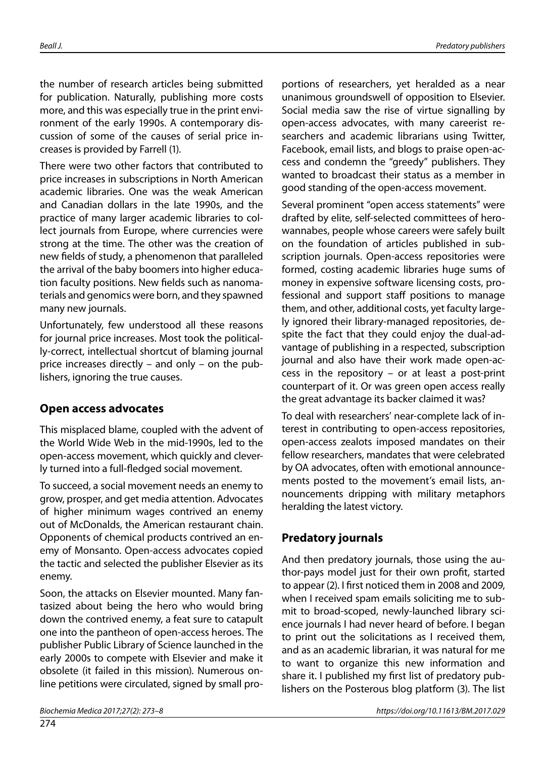the number of research articles being submitted for publication. Naturally, publishing more costs more, and this was especially true in the print environment of the early 1990s. A contemporary discussion of some of the causes of serial price increases is provided by Farrell (1).

There were two other factors that contributed to price increases in subscriptions in North American academic libraries. One was the weak American and Canadian dollars in the late 1990s, and the practice of many larger academic libraries to collect journals from Europe, where currencies were strong at the time. The other was the creation of new fields of study, a phenomenon that paralleled the arrival of the baby boomers into higher education faculty positions. New fields such as nanomaterials and genomics were born, and they spawned many new journals.

Unfortunately, few understood all these reasons for journal price increases. Most took the politically-correct, intellectual shortcut of blaming journal price increases directly – and only – on the publishers, ignoring the true causes.

#### **Open access advocates**

This misplaced blame, coupled with the advent of the World Wide Web in the mid-1990s, led to the open-access movement, which quickly and cleverly turned into a full-fledged social movement.

To succeed, a social movement needs an enemy to grow, prosper, and get media attention. Advocates of higher minimum wages contrived an enemy out of McDonalds, the American restaurant chain. Opponents of chemical products contrived an enemy of Monsanto. Open-access advocates copied the tactic and selected the publisher Elsevier as its enemy.

Soon, the attacks on Elsevier mounted. Many fantasized about being the hero who would bring down the contrived enemy, a feat sure to catapult one into the pantheon of open-access heroes. The publisher Public Library of Science launched in the early 2000s to compete with Elsevier and make it obsolete (it failed in this mission). Numerous online petitions were circulated, signed by small proportions of researchers, yet heralded as a near unanimous groundswell of opposition to Elsevier. Social media saw the rise of virtue signalling by open-access advocates, with many careerist researchers and academic librarians using Twitter, Facebook, email lists, and blogs to praise open-access and condemn the "greedy" publishers. They wanted to broadcast their status as a member in good standing of the open-access movement.

Several prominent "open access statements" were drafted by elite, self-selected committees of herowannabes, people whose careers were safely built on the foundation of articles published in subscription journals. Open-access repositories were formed, costing academic libraries huge sums of money in expensive software licensing costs, professional and support staff positions to manage them, and other, additional costs, yet faculty largely ignored their library-managed repositories, despite the fact that they could enjoy the dual-advantage of publishing in a respected, subscription journal and also have their work made open-access in the repository – or at least a post-print counterpart of it. Or was green open access really the great advantage its backer claimed it was?

To deal with researchers' near-complete lack of interest in contributing to open-access repositories, open-access zealots imposed mandates on their fellow researchers, mandates that were celebrated by OA advocates, often with emotional announcements posted to the movement's email lists, announcements dripping with military metaphors heralding the latest victory.

### **Predatory journals**

And then predatory journals, those using the author-pays model just for their own profit, started to appear (2). I first noticed them in 2008 and 2009, when I received spam emails soliciting me to submit to broad-scoped, newly-launched library science journals I had never heard of before. I began to print out the solicitations as I received them, and as an academic librarian, it was natural for me to want to organize this new information and share it. I published my first list of predatory publishers on the Posterous blog platform (3). The list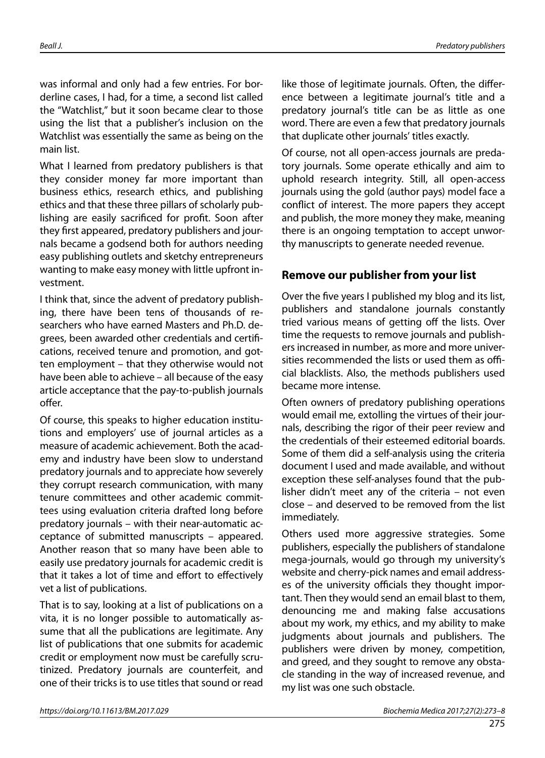was informal and only had a few entries. For borderline cases, I had, for a time, a second list called the "Watchlist," but it soon became clear to those using the list that a publisher's inclusion on the Watchlist was essentially the same as being on the main list.

What I learned from predatory publishers is that they consider money far more important than business ethics, research ethics, and publishing ethics and that these three pillars of scholarly publishing are easily sacrificed for profit. Soon after they first appeared, predatory publishers and journals became a godsend both for authors needing easy publishing outlets and sketchy entrepreneurs wanting to make easy money with little upfront investment.

I think that, since the advent of predatory publishing, there have been tens of thousands of researchers who have earned Masters and Ph.D. degrees, been awarded other credentials and certifications, received tenure and promotion, and gotten employment – that they otherwise would not have been able to achieve – all because of the easy article acceptance that the pay-to-publish journals offer.

Of course, this speaks to higher education institutions and employers' use of journal articles as a measure of academic achievement. Both the academy and industry have been slow to understand predatory journals and to appreciate how severely they corrupt research communication, with many tenure committees and other academic committees using evaluation criteria drafted long before predatory journals – with their near-automatic acceptance of submitted manuscripts – appeared. Another reason that so many have been able to easily use predatory journals for academic credit is that it takes a lot of time and effort to effectively vet a list of publications.

That is to say, looking at a list of publications on a vita, it is no longer possible to automatically assume that all the publications are legitimate. Any list of publications that one submits for academic credit or employment now must be carefully scrutinized. Predatory journals are counterfeit, and one of their tricks is to use titles that sound or read

like those of legitimate journals. Often, the difference between a legitimate journal's title and a predatory journal's title can be as little as one word. There are even a few that predatory journals that duplicate other journals' titles exactly.

Of course, not all open-access journals are predatory journals. Some operate ethically and aim to uphold research integrity. Still, all open-access journals using the gold (author pays) model face a conflict of interest. The more papers they accept and publish, the more money they make, meaning there is an ongoing temptation to accept unworthy manuscripts to generate needed revenue.

#### **Remove our publisher from your list**

Over the five years I published my blog and its list, publishers and standalone journals constantly tried various means of getting off the lists. Over time the requests to remove journals and publishers increased in number, as more and more universities recommended the lists or used them as official blacklists. Also, the methods publishers used became more intense.

Often owners of predatory publishing operations would email me, extolling the virtues of their journals, describing the rigor of their peer review and the credentials of their esteemed editorial boards. Some of them did a self-analysis using the criteria document I used and made available, and without exception these self-analyses found that the publisher didn't meet any of the criteria – not even close – and deserved to be removed from the list immediately.

Others used more aggressive strategies. Some publishers, especially the publishers of standalone mega-journals, would go through my university's website and cherry-pick names and email addresses of the university officials they thought important. Then they would send an email blast to them, denouncing me and making false accusations about my work, my ethics, and my ability to make judgments about journals and publishers. The publishers were driven by money, competition, and greed, and they sought to remove any obstacle standing in the way of increased revenue, and my list was one such obstacle.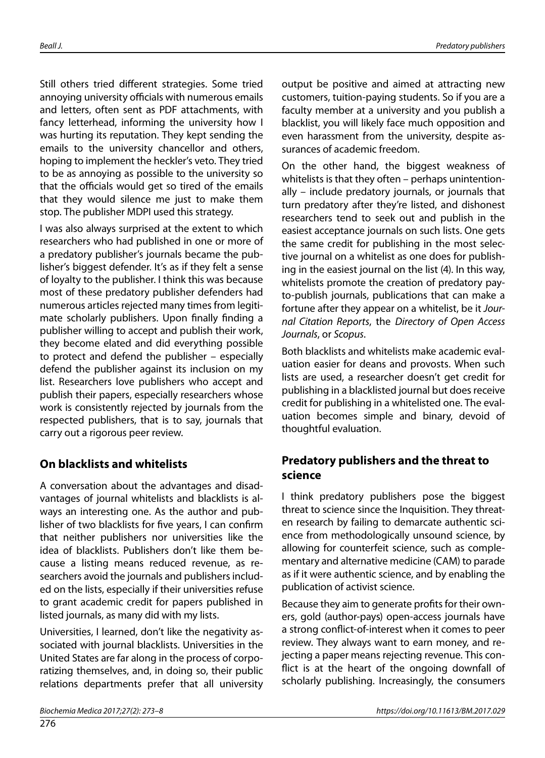Still others tried different strategies. Some tried annoying university officials with numerous emails and letters, often sent as PDF attachments, with fancy letterhead, informing the university how I was hurting its reputation. They kept sending the emails to the university chancellor and others, hoping to implement the heckler's veto. They tried to be as annoying as possible to the university so that the officials would get so tired of the emails that they would silence me just to make them stop. The publisher MDPI used this strategy.

I was also always surprised at the extent to which researchers who had published in one or more of a predatory publisher's journals became the publisher's biggest defender. It's as if they felt a sense of loyalty to the publisher. I think this was because most of these predatory publisher defenders had numerous articles rejected many times from legitimate scholarly publishers. Upon finally finding a publisher willing to accept and publish their work, they become elated and did everything possible to protect and defend the publisher – especially defend the publisher against its inclusion on my list. Researchers love publishers who accept and publish their papers, especially researchers whose work is consistently rejected by journals from the respected publishers, that is to say, journals that carry out a rigorous peer review.

### **On blacklists and whitelists**

A conversation about the advantages and disadvantages of journal whitelists and blacklists is always an interesting one. As the author and publisher of two blacklists for five years, I can confirm that neither publishers nor universities like the idea of blacklists. Publishers don't like them because a listing means reduced revenue, as researchers avoid the journals and publishers included on the lists, especially if their universities refuse to grant academic credit for papers published in listed journals, as many did with my lists.

Universities, I learned, don't like the negativity associated with journal blacklists. Universities in the United States are far along in the process of corporatizing themselves, and, in doing so, their public relations departments prefer that all university output be positive and aimed at attracting new customers, tuition-paying students. So if you are a faculty member at a university and you publish a blacklist, you will likely face much opposition and even harassment from the university, despite assurances of academic freedom.

On the other hand, the biggest weakness of whitelists is that they often – perhaps unintentionally – include predatory journals, or journals that turn predatory after they're listed, and dishonest researchers tend to seek out and publish in the easiest acceptance journals on such lists. One gets the same credit for publishing in the most selective journal on a whitelist as one does for publishing in the easiest journal on the list (4). In this way, whitelists promote the creation of predatory payto-publish journals, publications that can make a fortune after they appear on a whitelist, be it *Journal Citation Reports*, the *Directory of Open Access Journals*, or *Scopus*.

Both blacklists and whitelists make academic evaluation easier for deans and provosts. When such lists are used, a researcher doesn't get credit for publishing in a blacklisted journal but does receive credit for publishing in a whitelisted one. The evaluation becomes simple and binary, devoid of thoughtful evaluation.

### **Predatory publishers and the threat to science**

I think predatory publishers pose the biggest threat to science since the Inquisition. They threaten research by failing to demarcate authentic science from methodologically unsound science, by allowing for counterfeit science, such as complementary and alternative medicine (CAM) to parade as if it were authentic science, and by enabling the publication of activist science.

Because they aim to generate profits for their owners, gold (author-pays) open-access journals have a strong conflict-of-interest when it comes to peer review. They always want to earn money, and rejecting a paper means rejecting revenue. This conflict is at the heart of the ongoing downfall of scholarly publishing. Increasingly, the consumers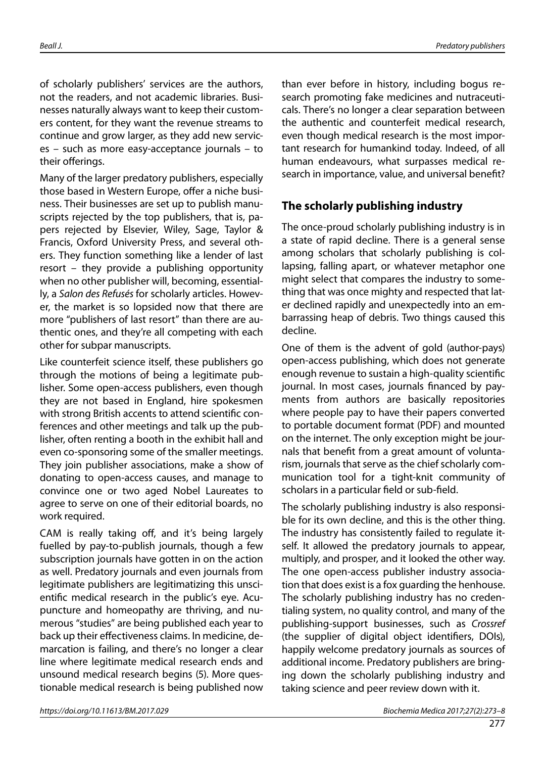of scholarly publishers' services are the authors, not the readers, and not academic libraries. Businesses naturally always want to keep their customers content, for they want the revenue streams to continue and grow larger, as they add new services – such as more easy-acceptance journals – to their offerings.

Many of the larger predatory publishers, especially those based in Western Europe, offer a niche business. Their businesses are set up to publish manuscripts rejected by the top publishers, that is, papers rejected by Elsevier, Wiley, Sage, Taylor & Francis, Oxford University Press, and several others. They function something like a lender of last resort – they provide a publishing opportunity when no other publisher will, becoming, essentially, a *Salon des Refusés* for scholarly articles. However, the market is so lopsided now that there are more "publishers of last resort" than there are authentic ones, and they're all competing with each other for subpar manuscripts.

Like counterfeit science itself, these publishers go through the motions of being a legitimate publisher. Some open-access publishers, even though they are not based in England, hire spokesmen with strong British accents to attend scientific conferences and other meetings and talk up the publisher, often renting a booth in the exhibit hall and even co-sponsoring some of the smaller meetings. They join publisher associations, make a show of donating to open-access causes, and manage to convince one or two aged Nobel Laureates to agree to serve on one of their editorial boards, no work required.

CAM is really taking off, and it's being largely fuelled by pay-to-publish journals, though a few subscription journals have gotten in on the action as well. Predatory journals and even journals from legitimate publishers are legitimatizing this unscientific medical research in the public's eye. Acupuncture and homeopathy are thriving, and numerous "studies" are being published each year to back up their effectiveness claims. In medicine, demarcation is failing, and there's no longer a clear line where legitimate medical research ends and unsound medical research begins (5). More questionable medical research is being published now

than ever before in history, including bogus research promoting fake medicines and nutraceuticals. There's no longer a clear separation between the authentic and counterfeit medical research, even though medical research is the most important research for humankind today. Indeed, of all human endeavours, what surpasses medical research in importance, value, and universal benefit?

## **The scholarly publishing industry**

The once-proud scholarly publishing industry is in a state of rapid decline. There is a general sense among scholars that scholarly publishing is collapsing, falling apart, or whatever metaphor one might select that compares the industry to something that was once mighty and respected that later declined rapidly and unexpectedly into an embarrassing heap of debris. Two things caused this decline.

One of them is the advent of gold (author-pays) open-access publishing, which does not generate enough revenue to sustain a high-quality scientific journal. In most cases, journals financed by payments from authors are basically repositories where people pay to have their papers converted to portable document format (PDF) and mounted on the internet. The only exception might be journals that benefit from a great amount of voluntarism, journals that serve as the chief scholarly communication tool for a tight-knit community of scholars in a particular field or sub-field.

The scholarly publishing industry is also responsible for its own decline, and this is the other thing. The industry has consistently failed to regulate itself. It allowed the predatory journals to appear, multiply, and prosper, and it looked the other way. The one open-access publisher industry association that does exist is a fox guarding the henhouse. The scholarly publishing industry has no credentialing system, no quality control, and many of the publishing-support businesses, such as *Crossref* (the supplier of digital object identifiers, DOIs), happily welcome predatory journals as sources of additional income. Predatory publishers are bringing down the scholarly publishing industry and taking science and peer review down with it.